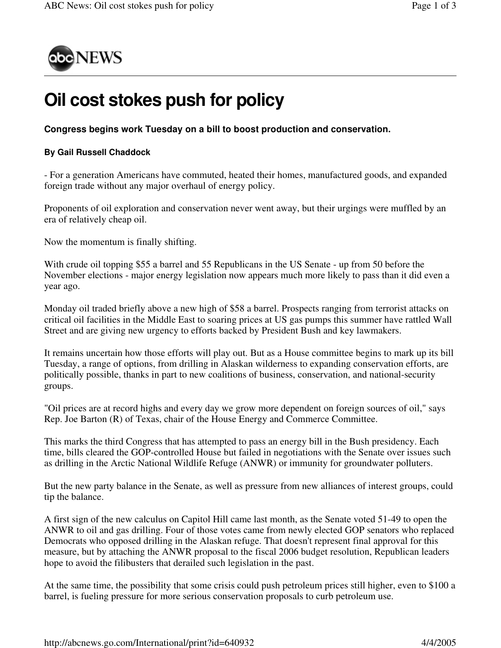

## **Oil cost stokes push for policy**

**Congress begins work Tuesday on a bill to boost production and conservation.**

## **By Gail Russell Chaddock**

- For a generation Americans have commuted, heated their homes, manufactured goods, and expanded foreign trade without any major overhaul of energy policy.

Proponents of oil exploration and conservation never went away, but their urgings were muffled by an era of relatively cheap oil.

Now the momentum is finally shifting.

With crude oil topping \$55 a barrel and 55 Republicans in the US Senate - up from 50 before the November elections - major energy legislation now appears much more likely to pass than it did even a year ago.

Monday oil traded briefly above a new high of \$58 a barrel. Prospects ranging from terrorist attacks on critical oil facilities in the Middle East to soaring prices at US gas pumps this summer have rattled Wall Street and are giving new urgency to efforts backed by President Bush and key lawmakers.

It remains uncertain how those efforts will play out. But as a House committee begins to mark up its bill Tuesday, a range of options, from drilling in Alaskan wilderness to expanding conservation efforts, are politically possible, thanks in part to new coalitions of business, conservation, and national-security groups.

"Oil prices are at record highs and every day we grow more dependent on foreign sources of oil," says Rep. Joe Barton (R) of Texas, chair of the House Energy and Commerce Committee.

This marks the third Congress that has attempted to pass an energy bill in the Bush presidency. Each time, bills cleared the GOP-controlled House but failed in negotiations with the Senate over issues such as drilling in the Arctic National Wildlife Refuge (ANWR) or immunity for groundwater polluters.

But the new party balance in the Senate, as well as pressure from new alliances of interest groups, could tip the balance.

A first sign of the new calculus on Capitol Hill came last month, as the Senate voted 51-49 to open the ANWR to oil and gas drilling. Four of those votes came from newly elected GOP senators who replaced Democrats who opposed drilling in the Alaskan refuge. That doesn't represent final approval for this measure, but by attaching the ANWR proposal to the fiscal 2006 budget resolution, Republican leaders hope to avoid the filibusters that derailed such legislation in the past.

At the same time, the possibility that some crisis could push petroleum prices still higher, even to \$100 a barrel, is fueling pressure for more serious conservation proposals to curb petroleum use.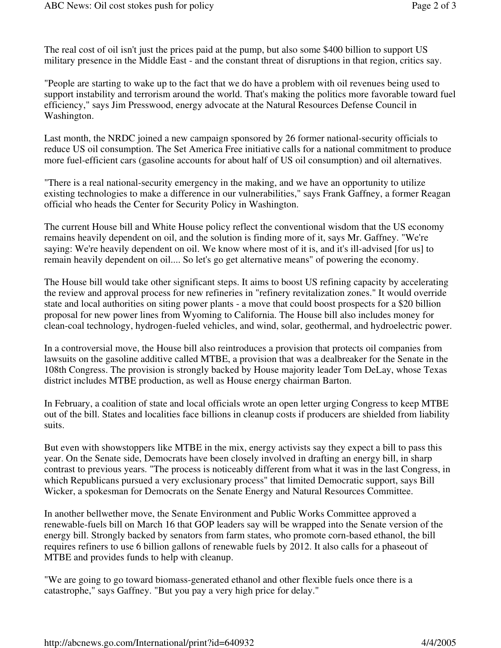The real cost of oil isn't just the prices paid at the pump, but also some \$400 billion to support US military presence in the Middle East - and the constant threat of disruptions in that region, critics say.

"People are starting to wake up to the fact that we do have a problem with oil revenues being used to support instability and terrorism around the world. That's making the politics more favorable toward fuel efficiency," says Jim Presswood, energy advocate at the Natural Resources Defense Council in Washington.

Last month, the NRDC joined a new campaign sponsored by 26 former national-security officials to reduce US oil consumption. The Set America Free initiative calls for a national commitment to produce more fuel-efficient cars (gasoline accounts for about half of US oil consumption) and oil alternatives.

"There is a real national-security emergency in the making, and we have an opportunity to utilize existing technologies to make a difference in our vulnerabilities," says Frank Gaffney, a former Reagan official who heads the Center for Security Policy in Washington.

The current House bill and White House policy reflect the conventional wisdom that the US economy remains heavily dependent on oil, and the solution is finding more of it, says Mr. Gaffney. "We're saying: We're heavily dependent on oil. We know where most of it is, and it's ill-advised [for us] to remain heavily dependent on oil.... So let's go get alternative means" of powering the economy.

The House bill would take other significant steps. It aims to boost US refining capacity by accelerating the review and approval process for new refineries in "refinery revitalization zones." It would override state and local authorities on siting power plants - a move that could boost prospects for a \$20 billion proposal for new power lines from Wyoming to California. The House bill also includes money for clean-coal technology, hydrogen-fueled vehicles, and wind, solar, geothermal, and hydroelectric power.

In a controversial move, the House bill also reintroduces a provision that protects oil companies from lawsuits on the gasoline additive called MTBE, a provision that was a dealbreaker for the Senate in the 108th Congress. The provision is strongly backed by House majority leader Tom DeLay, whose Texas district includes MTBE production, as well as House energy chairman Barton.

In February, a coalition of state and local officials wrote an open letter urging Congress to keep MTBE out of the bill. States and localities face billions in cleanup costs if producers are shielded from liability suits.

But even with showstoppers like MTBE in the mix, energy activists say they expect a bill to pass this year. On the Senate side, Democrats have been closely involved in drafting an energy bill, in sharp contrast to previous years. "The process is noticeably different from what it was in the last Congress, in which Republicans pursued a very exclusionary process" that limited Democratic support, says Bill Wicker, a spokesman for Democrats on the Senate Energy and Natural Resources Committee.

In another bellwether move, the Senate Environment and Public Works Committee approved a renewable-fuels bill on March 16 that GOP leaders say will be wrapped into the Senate version of the energy bill. Strongly backed by senators from farm states, who promote corn-based ethanol, the bill requires refiners to use 6 billion gallons of renewable fuels by 2012. It also calls for a phaseout of MTBE and provides funds to help with cleanup.

"We are going to go toward biomass-generated ethanol and other flexible fuels once there is a catastrophe," says Gaffney. "But you pay a very high price for delay."